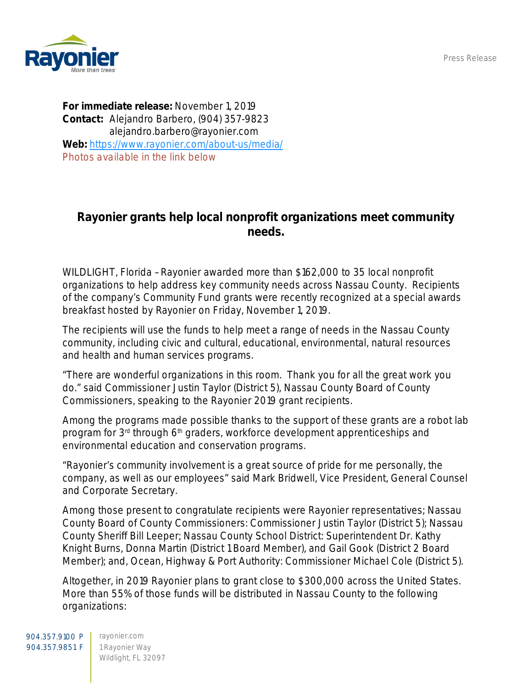Press Release



For immediate release: November 1, 2019 Contact: Alejandro Barbero, (904) 357-9823 alejandro.barbero@rayonier.com Web: <https://www.rayonier.com/about-us/media/> *Photos available in the link below*

## Rayonier grants help local nonprofit organizations meet community needs.

WILDLIGHT, Florida –Rayonier awarded more than \$162,000 to 35 local nonprofit organizations to help address key community needs across Nassau County. Recipients of the company's Community Fund grants were recently recognized at a special awards breakfast hosted by Rayonier on Friday, November 1, 2019.

The recipients will use the funds to help meet a range of needs in the Nassau County community, including civic and cultural, educational, environmental, natural resources and health and human services programs.

"There are wonderful organizations in this room. Thank you for all the great work you do." said Commissioner Justin Taylor (District 5), Nassau County Board of County Commissioners, speaking to the Rayonier 2019 grant recipients.

Among the programs made possible thanks to the support of these grants are a robot lab program for 3<sup>rd</sup> through 6<sup>th</sup> graders, workforce development apprenticeships and environmental education and conservation programs.

"Rayonier's community involvement is a great source of pride for me personally, the company, as well as our employees" said Mark Bridwell, Vice President, General Counsel and Corporate Secretary.

Among those present to congratulate recipients were Rayonier representatives; Nassau County Board of County Commissioners: Commissioner Justin Taylor (District 5); Nassau County Sheriff Bill Leeper; Nassau County School District: Superintendent Dr. Kathy Knight Burns, Donna Martin (District 1 Board Member), and Gail Gook (District 2 Board Member); and, Ocean, Highway & Port Authority: Commissioner Michael Cole (District 5).

Altogether, in 2019 Rayonier plans to grant close to \$300,000 across the United States. More than 55% of those funds will be distributed in Nassau County to the following organizations: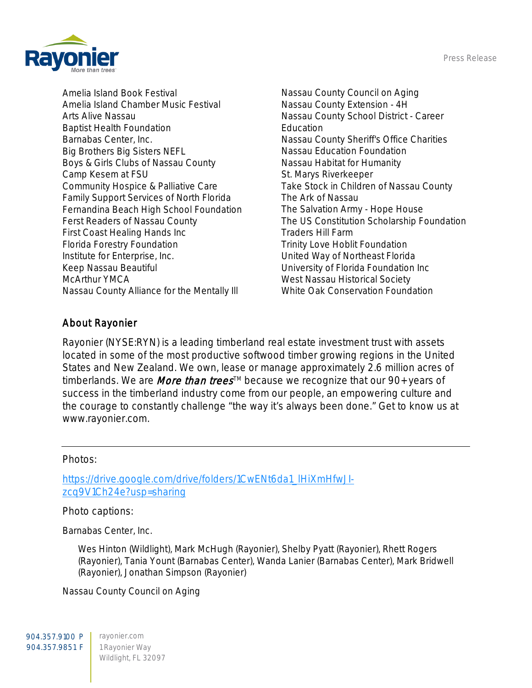Press Release



Amelia Island Book Festival Amelia Island Chamber Music Festival Arts Alive Nassau Baptist Health Foundation Barnabas Center, Inc. Big Brothers Big Sisters NEFL Boys & Girls Clubs of Nassau County Camp Kesem at FSU Community Hospice & Palliative Care Family Support Services of North Florida Fernandina Beach High School Foundation Ferst Readers of Nassau County First Coast Healing Hands Inc Florida Forestry Foundation Institute for Enterprise, Inc. Keep Nassau Beautiful McArthur YMCA Nassau County Alliance for the Mentally Ill

Nassau County Council on Aging Nassau County Extension - 4H Nassau County School District - Career **Education** Nassau County Sheriff's Office Charities Nassau Education Foundation Nassau Habitat for Humanity St. Marys Riverkeeper Take Stock in Children of Nassau County The Ark of Nassau The Salvation Army - Hope House The US Constitution Scholarship Foundation Traders Hill Farm Trinity Love Hoblit Foundation United Way of Northeast Florida University of Florida Foundation Inc West Nassau Historical Society White Oak Conservation Foundation

## About Rayonier

Rayonier (NYSE:RYN) is a leading timberland real estate investment trust with assets located in some of the most productive softwood timber growing regions in the United States and New Zealand. We own, lease or manage approximately 2.6 million acres of timberlands. We are *More than trees<sup>™</sup>* because we recognize that our 90+ years of success in the timberland industry come from our people, an empowering culture and the courage to constantly challenge "the way it's always been done." Get to know us at www.rayonier.com.

## Photos:

[https://drive.google.com/drive/folders/1CwENt6da1\\_lHiXmHfwJI](https://drive.google.com/drive/folders/1CwENt6da1_lHiXmHfwJI-zcq9V1Ch24e?usp=sharing)[zcq9V1Ch24e?usp=sharing](https://drive.google.com/drive/folders/1CwENt6da1_lHiXmHfwJI-zcq9V1Ch24e?usp=sharing)

## Photo captions:

Barnabas Center, Inc.

Wes Hinton (Wildlight), Mark McHugh (Rayonier), Shelby Pyatt (Rayonier), Rhett Rogers (Rayonier), Tania Yount (Barnabas Center), Wanda Lanier (Barnabas Center), Mark Bridwell (Rayonier), Jonathan Simpson (Rayonier)

Nassau County Council on Aging